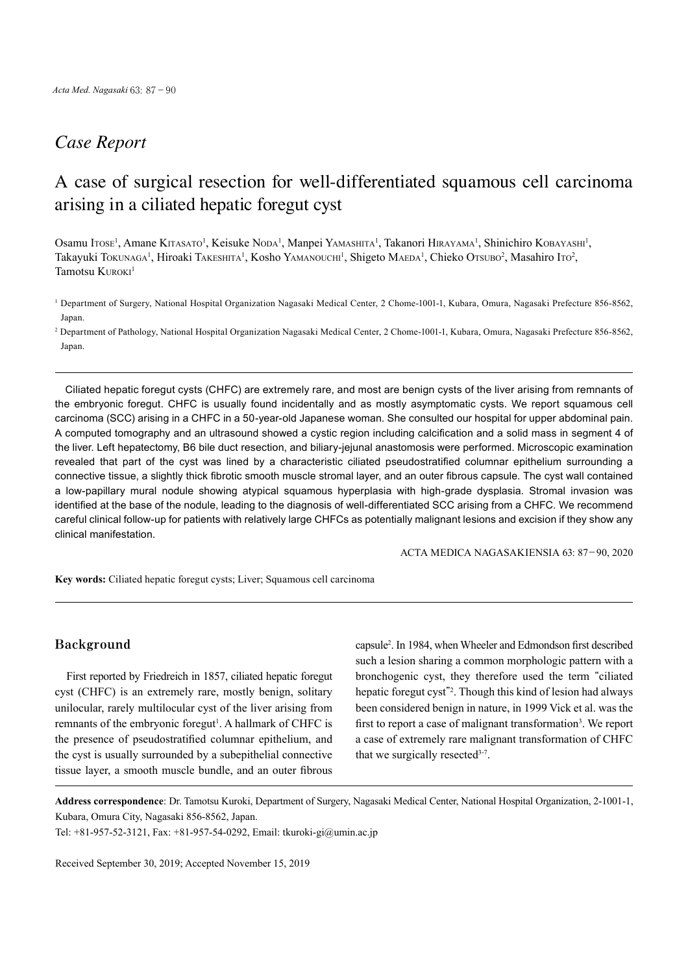## *Case Report*

# A case of surgical resection for well-differentiated squamous cell carcinoma arising in a ciliated hepatic foregut cyst

Osamu Itose<sup>1</sup>, Amane Kitasato<sup>1</sup>, Keisuke Noda<sup>1</sup>, Manpei Yamashita<sup>1</sup>, Takanori Hirayama<sup>1</sup>, Shinichiro Kobayashi<sup>1</sup>, Takayuki Tokunaga<sup>1</sup>, Hiroaki Takeshita<sup>1</sup>, Kosho Yamanouchi<sup>1</sup>, Shigeto Maeda<sup>1</sup>, Chieko Otsubo<sup>2</sup>, Masahiro Ito<sup>2</sup>, Tamotsu Kuroki<sup>1</sup>

<sup>1</sup> Department of Surgery, National Hospital Organization Nagasaki Medical Center, 2 Chome-1001-1, Kubara, Omura, Nagasaki Prefecture 856-8562, Japan.

2 Department of Pathology, National Hospital Organization Nagasaki Medical Center, 2 Chome-1001-1, Kubara, Omura, Nagasaki Prefecture 856-8562, Japan.

Ciliated hepatic foregut cysts (CHFC) are extremely rare, and most are benign cysts of the liver arising from remnants of the embryonic foregut. CHFC is usually found incidentally and as mostly asymptomatic cysts. We report squamous cell carcinoma (SCC) arising in a CHFC in a 50-year-old Japanese woman. She consulted our hospital for upper abdominal pain. A computed tomography and an ultrasound showed a cystic region including calcification and a solid mass in segment 4 of the liver. Left hepatectomy, B6 bile duct resection, and biliary-jejunal anastomosis were performed. Microscopic examination revealed that part of the cyst was lined by a characteristic ciliated pseudostratified columnar epithelium surrounding a connective tissue, a slightly thick fibrotic smooth muscle stromal layer, and an outer fibrous capsule. The cyst wall contained a low-papillary mural nodule showing atypical squamous hyperplasia with high-grade dysplasia. Stromal invasion was identified at the base of the nodule, leading to the diagnosis of well-differentiated SCC arising from a CHFC. We recommend careful clinical follow-up for patients with relatively large CHFCs as potentially malignant lesions and excision if they show any clinical manifestation.

ACTA MEDICA NAGASAKIENSIA 63: 87−90, 2020

**Key words:** Ciliated hepatic foregut cysts; Liver; Squamous cell carcinoma

### **Background**

First reported by Friedreich in 1857, ciliated hepatic foregut cyst (CHFC) is an extremely rare, mostly benign, solitary unilocular, rarely multilocular cyst of the liver arising from remnants of the embryonic foregut<sup>1</sup>. A hallmark of CHFC is the presence of pseudostratified columnar epithelium, and the cyst is usually surrounded by a subepithelial connective tissue layer, a smooth muscle bundle, and an outer fibrous

capsule2 . In 1984, when Wheeler and Edmondson first described such a lesion sharing a common morphologic pattern with a bronchogenic cyst, they therefore used the term "ciliated hepatic foregut cyst"<sup>2</sup> . Though this kind of lesion had always been considered benign in nature, in 1999 Vick et al. was the first to report a case of malignant transformation<sup>3</sup>. We report a case of extremely rare malignant transformation of CHFC that we surgically resected $3-7$ .

**Address correspondence**: Dr. Tamotsu Kuroki, Department of Surgery, Nagasaki Medical Center, National Hospital Organization, 2-1001-1, Kubara, Omura City, Nagasaki 856-8562, Japan.

Tel: +81-957-52-3121, Fax: +81-957-54-0292, Email: tkuroki-gi@umin.ac.jp

Received September 30, 2019; Accepted November 15, 2019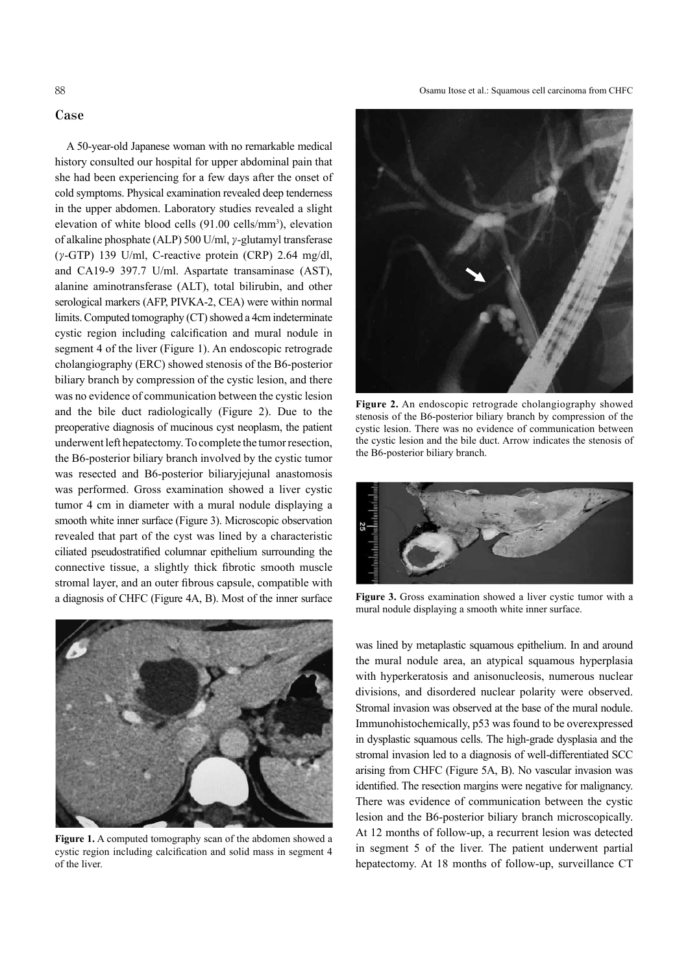88 Osamu Itose et al.: Squamous cell carcinoma from CHFC

#### **Case**

A 50-year-old Japanese woman with no remarkable medical history consulted our hospital for upper abdominal pain that she had been experiencing for a few days after the onset of cold symptoms. Physical examination revealed deep tenderness in the upper abdomen. Laboratory studies revealed a slight elevation of white blood cells (91.00 cells/mm<sup>3</sup>), elevation of alkaline phosphate (ALP) 500 U/ml, γ-glutamyl transferase ( $\gamma$ -GTP) 139 U/ml, C-reactive protein (CRP) 2.64 mg/dl, and CA19-9 397.7 U/ml. Aspartate transaminase (AST), alanine aminotransferase (ALT), total bilirubin, and other serological markers (AFP, PIVKA-2, CEA) were within normal limits. Computed tomography (CT) showed a 4cm indeterminate cystic region including calcification and mural nodule in segment 4 of the liver (Figure 1). An endoscopic retrograde cholangiography (ERC) showed stenosis of the B6-posterior biliary branch by compression of the cystic lesion, and there was no evidence of communication between the cystic lesion and the bile duct radiologically (Figure 2). Due to the preoperative diagnosis of mucinous cyst neoplasm, the patient underwent left hepatectomy.To complete the tumorresection, the B6-posterior biliary branch involved by the cystic tumor was resected and B6-posterior biliaryjejunal anastomosis was performed. Gross examination showed a liver cystic tumor 4 cm in diameter with a mural nodule displaying a smooth white inner surface (Figure 3). Microscopic observation revealed that part of the cyst was lined by a characteristic ciliated pseudostratified columnar epithelium surrounding the connective tissue, a slightly thick fibrotic smooth muscle stromal layer, and an outer fibrous capsule, compatible with a diagnosis of CHFC (Figure 4A, B). Most of the inner surface



**Figure 1.** A computed tomography scan of the abdomen showed a cystic region including calcification and solid mass in segment 4 of the liver.



**Figure 2.** An endoscopic retrograde cholangiography showed stenosis of the B6-posterior biliary branch by compression of the cystic lesion. There was no evidence of communication between the cystic lesion and the bile duct. Arrow indicates the stenosis of the B6-posterior biliary branch.



**Figure 3.** Gross examination showed a liver cystic tumor with a mural nodule displaying a smooth white inner surface.

was lined by metaplastic squamous epithelium. In and around the mural nodule area, an atypical squamous hyperplasia with hyperkeratosis and anisonucleosis, numerous nuclear divisions, and disordered nuclear polarity were observed. Stromal invasion was observed at the base of the mural nodule. Immunohistochemically, p53 was found to be overexpressed in dysplastic squamous cells. The high-grade dysplasia and the stromal invasion led to a diagnosis of well-differentiated SCC arising from CHFC (Figure 5A, B). No vascular invasion was identified. The resection margins were negative for malignancy. There was evidence of communication between the cystic lesion and the B6-posterior biliary branch microscopically. At 12 months of follow-up, a recurrent lesion was detected in segment 5 of the liver. The patient underwent partial hepatectomy. At 18 months of follow-up, surveillance CT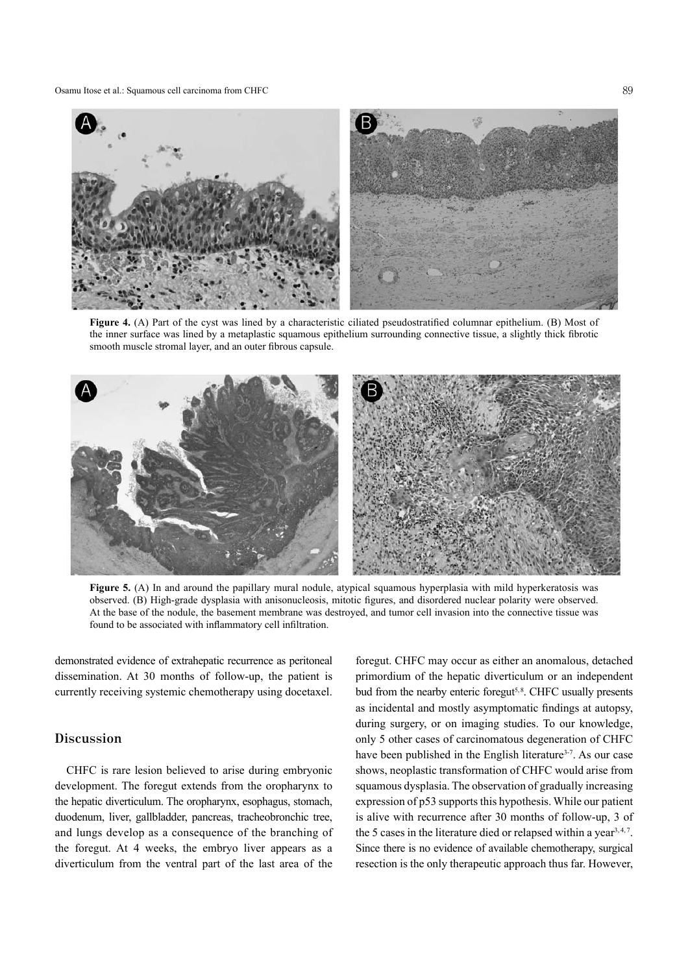Osamu Itose et al.: Squamous cell carcinoma from CHFC 89



**Figure 4.** (A) Part of the cyst was lined by a characteristic ciliated pseudostratified columnar epithelium. (B) Most of the inner surface was lined by a metaplastic squamous epithelium surrounding connective tissue, a slightly thick fibrotic smooth muscle stromal layer, and an outer fibrous capsule.



**Figure 5.** (A) In and around the papillary mural nodule, atypical squamous hyperplasia with mild hyperkeratosis was observed. (B) High-grade dysplasia with anisonucleosis, mitotic figures, and disordered nuclear polarity were observed. At the base of the nodule, the basement membrane was destroyed, and tumor cell invasion into the connective tissue was found to be associated with inflammatory cell infiltration.

demonstrated evidence of extrahepatic recurrence as peritoneal dissemination. At 30 months of follow-up, the patient is currently receiving systemic chemotherapy using docetaxel.

## **Discussion**

CHFC is rare lesion believed to arise during embryonic development. The foregut extends from the oropharynx to the hepatic diverticulum. The oropharynx, esophagus, stomach, duodenum, liver, gallbladder, pancreas, tracheobronchic tree, and lungs develop as a consequence of the branching of the foregut. At 4 weeks, the embryo liver appears as a diverticulum from the ventral part of the last area of the

foregut. CHFC may occur as either an anomalous, detached primordium of the hepatic diverticulum or an independent bud from the nearby enteric foregut<sup>5,8</sup>. CHFC usually presents as incidental and mostly asymptomatic findings at autopsy, during surgery, or on imaging studies. To our knowledge, only 5 other cases of carcinomatous degeneration of CHFC have been published in the English literature<sup>3-7</sup>. As our case shows, neoplastic transformation of CHFC would arise from squamous dysplasia. The observation of gradually increasing expression of p53 supports this hypothesis. While our patient is alive with recurrence after 30 months of follow-up, 3 of the 5 cases in the literature died or relapsed within a year<sup>3,4,7</sup>. Since there is no evidence of available chemotherapy, surgical resection is the only therapeutic approach thus far. However,